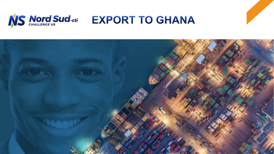

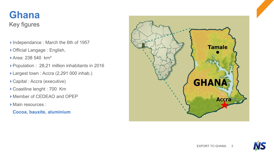## Key figures **Ghana**

- Independance : March the 6th of 1957
- Official Langage : English,
- Area: 238 540 km²
- Population : 28,21 million inhabitants in 2016
- Largest town : Accra (2,291 000 inhab.)
- Capital : Accra (executive)
- Coastline lenght : 700 Km
- Member of CEDEAO and OPEP
- Main resources :
- **Cocoa, bauxite, aluminium**



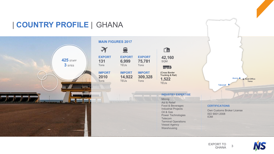

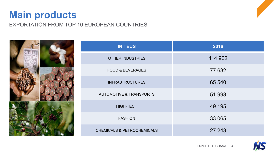## EXPORTATION FROM TOP 10 EUROPEAN COUNTRIES **Main products**



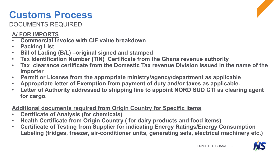# **Customs Process**

DOCUMENTS REQUIRED



#### **A/ FOR IMPORTS**

- **Commercial Invoice with CIF value breakdown**
- **Packing List**
- **Bill of Lading (B/L) –original signed and stamped**
- **Tax Identification Number (TIN) Certificate from the Ghana revenue authority**
- **Tax clearance certificate from the Domestic Tax revenue Division issued in the name of the importer**
- **Permit or License from the appropriate ministry/agency/department as applicable**
- **Appropriate letter of Exemption from payment of duty and/or taxes as applicable.**
- **Letter of Authority addressed to shipping line to appoint NORD SUD CTI as clearing agent for cargo.**

### **Additional documents required from Origin Country for Specific items**

- **Certificate of Analysis (for chemicals)**
- **Health Certificate from Origin Country ( for dairy products and food items)**
- **Certificate of Testing from Supplier for indicating Energy Ratings/Energy Consumption Labeling (fridges, freezer, air-conditioner units, generating sets, electrical machinery etc.)**

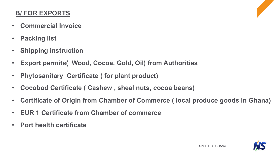### **B/ FOR EXPORTS**

- **Commercial Invoice**
- **Packing list**
- **Shipping instruction**
- **Export permits( Wood, Cocoa, Gold, Oil) from Authorities**
- **Phytosanitary Certificate ( for plant product)**
- **Cocobod Certificate ( Cashew , sheal nuts, cocoa beans)**
- **Certificate of Origin from Chamber of Commerce ( local produce goods in Ghana)**
- **EUR 1 Certificate from Chamber of commerce**
- **Port health certificate**

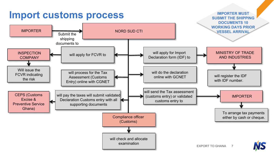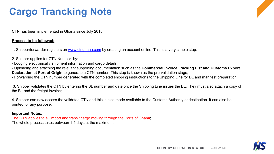# **Cargo Trancking Note**

CTN has been implemented in Ghana since July 2018.

#### **Process to be followed:**

1. Shipper/forwarder registers on [www.ctnghana.com](http://www.ctnghana.com/) by creating an account online. This is a very simple step.

- 2. Shipper applies for CTN Number by:
- Lodging electronically shipment information and cargo details;

- Uploading and attaching the relevant supporting documentation such as the **Commercial Invoice, Packing List and Customs Export Declaration at Port of Origin** to generate a CTN number. This step is known as the pre-validation stage;

- Forwarding the CTN number generated with the completed shipping instructions to the Shipping Line for BL and manifest preparation.

3. Shipper validates the CTN by entering the BL number and date once the Shipping Line issues the BL. They must also attach a copy of the BL and the freight invoice;

4. Shipper can now access the validated CTN and this is also made available to the Customs Authority at destination. It can also be printed for any purpose.

#### **Important Notes:**

The CTN applies to all import and transit cargo moving through the Ports of Ghana; The whole process takes between 1-5 days at the maximum.